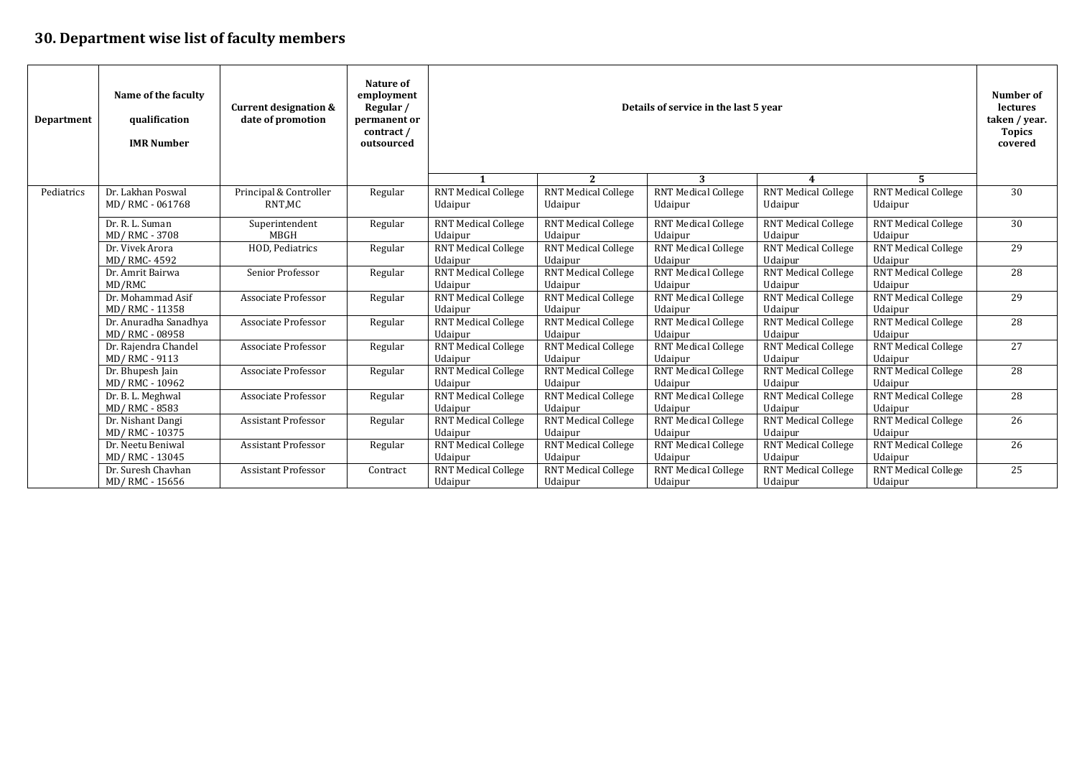## **30. Department wise list of faculty members**

| <b>Department</b> | Name of the faculty<br>qualification<br><b>IMR Number</b> | <b>Current designation &amp;</b><br>date of promotion | Nature of<br>employment<br>Regular /<br>permanent or<br>contract/<br>outsourced | Details of service in the last 5 year |                                       |                                       | Number of<br>lectures<br>taken / year.<br><b>Topics</b><br>covered |                                       |                 |
|-------------------|-----------------------------------------------------------|-------------------------------------------------------|---------------------------------------------------------------------------------|---------------------------------------|---------------------------------------|---------------------------------------|--------------------------------------------------------------------|---------------------------------------|-----------------|
|                   |                                                           |                                                       |                                                                                 |                                       | 2                                     | 3                                     |                                                                    | 5.                                    |                 |
| Pediatrics        | Dr. Lakhan Poswal<br>MD/RMC-061768                        | Principal & Controller<br>RNT.MC                      | Regular                                                                         | <b>RNT Medical College</b><br>Udaipur | <b>RNT Medical College</b><br>Udaipur | <b>RNT Medical College</b><br>Udaipur | <b>RNT Medical College</b><br>Udaipur                              | <b>RNT Medical College</b><br>Udaipur | 30              |
|                   | Dr. R. L. Suman<br>MD/RMC-3708                            | Superintendent<br>MBGH                                | Regular                                                                         | <b>RNT Medical College</b><br>Udaipur | <b>RNT Medical College</b><br>Udaipur | <b>RNT Medical College</b><br>Udaipur | <b>RNT Medical College</b><br>Udaipur                              | <b>RNT Medical College</b><br>Udaipur | 30              |
|                   | Dr. Vivek Arora<br>MD/ RMC-4592                           | HOD. Pediatrics                                       | Regular                                                                         | <b>RNT Medical College</b><br>Udaipur | <b>RNT Medical College</b><br>Udaipur | <b>RNT Medical College</b><br>Udaipur | <b>RNT Medical College</b><br>Udaipur                              | <b>RNT Medical College</b><br>Udaipur | 29              |
|                   | Dr. Amrit Bairwa                                          | Senior Professor                                      | Regular                                                                         | <b>RNT Medical College</b>            | <b>RNT Medical College</b>            | <b>RNT Medical College</b>            | <b>RNT Medical College</b>                                         | <b>RNT Medical College</b>            | 28              |
|                   | MD/RMC                                                    |                                                       |                                                                                 | Udaipur                               | Udaipur                               | Udaipur                               | Udaipur                                                            | Udaipur                               |                 |
|                   | Dr. Mohammad Asif                                         | Associate Professor                                   | Regular                                                                         | <b>RNT Medical College</b>            | <b>RNT Medical College</b>            | <b>RNT Medical College</b>            | <b>RNT Medical College</b>                                         | <b>RNT Medical College</b>            | 29              |
|                   | MD/RMC - 11358                                            |                                                       |                                                                                 | Udaipur                               | Udaipur                               | Udaipur                               | Udaipur                                                            | Udaipur                               |                 |
|                   | Dr. Anuradha Sanadhya                                     | Associate Professor                                   | Regular                                                                         | <b>RNT Medical College</b>            | <b>RNT Medical College</b>            | <b>RNT Medical College</b>            | <b>RNT Medical College</b>                                         | <b>RNT Medical College</b>            | 28              |
|                   | MD/RMC-08958                                              | Associate Professor                                   |                                                                                 | Udaipur<br><b>RNT Medical College</b> | Udaipur<br><b>RNT Medical College</b> | Udaipur<br><b>RNT Medical College</b> | Udaipur<br><b>RNT Medical College</b>                              | Udaipur<br><b>RNT Medical College</b> | 27              |
|                   | Dr. Rajendra Chandel<br>MD/RMC-9113                       |                                                       | Regular                                                                         | Udaipur                               | Udaipur                               | Udaipur                               | Udaipur                                                            | Udaipur                               |                 |
|                   | Dr. Bhupesh Jain                                          | Associate Professor                                   | Regular                                                                         | <b>RNT Medical College</b>            | <b>RNT Medical College</b>            | <b>RNT Medical College</b>            | <b>RNT</b> Medical College                                         | <b>RNT Medical College</b>            | $\overline{28}$ |
|                   | MD/RMC - 10962                                            |                                                       |                                                                                 | Udaipur                               | Udaipur                               | Udaipur                               | Udaipur                                                            | Udaipur                               |                 |
|                   | Dr. B. L. Meghwal                                         | Associate Professor                                   | Regular                                                                         | <b>RNT Medical College</b>            | <b>RNT Medical College</b>            | <b>RNT Medical College</b>            | <b>RNT Medical College</b>                                         | <b>RNT Medical College</b>            | 28              |
|                   | MD/RMC-8583                                               |                                                       |                                                                                 | Udaipur                               | Udaipur                               | Udaipur                               | Udaipur                                                            | Udaipur                               |                 |
|                   | Dr. Nishant Dangi                                         | <b>Assistant Professor</b>                            | Regular                                                                         | <b>RNT Medical College</b>            | <b>RNT Medical College</b>            | <b>RNT Medical College</b>            | <b>RNT Medical College</b>                                         | <b>RNT Medical College</b>            | 26              |
|                   | MD/RMC - 10375                                            |                                                       |                                                                                 | Udaipur                               | Udaipur                               | Udaipur                               | Udaipur                                                            | Udaipur                               |                 |
|                   | Dr. Neetu Beniwal                                         | <b>Assistant Professor</b>                            | Regular                                                                         | <b>RNT Medical College</b>            | <b>RNT Medical College</b>            | <b>RNT Medical College</b>            | <b>RNT Medical College</b>                                         | <b>RNT Medical College</b>            | 26              |
|                   | MD/RMC - 13045                                            |                                                       |                                                                                 | Udaipur                               | Udaipur                               | Udaipur                               | Udaipur                                                            | Udaipur                               |                 |
|                   | Dr. Suresh Chavhan                                        | <b>Assistant Professor</b>                            | Contract                                                                        | <b>RNT Medical College</b>            | <b>RNT Medical College</b>            | <b>RNT Medical College</b>            | <b>RNT Medical College</b>                                         | <b>RNT Medical College</b>            | 25              |
|                   | MD/RMC - 15656                                            |                                                       |                                                                                 | Udaipur                               | Udaipur                               | Udaipur                               | Udaipur                                                            | Udaipur                               |                 |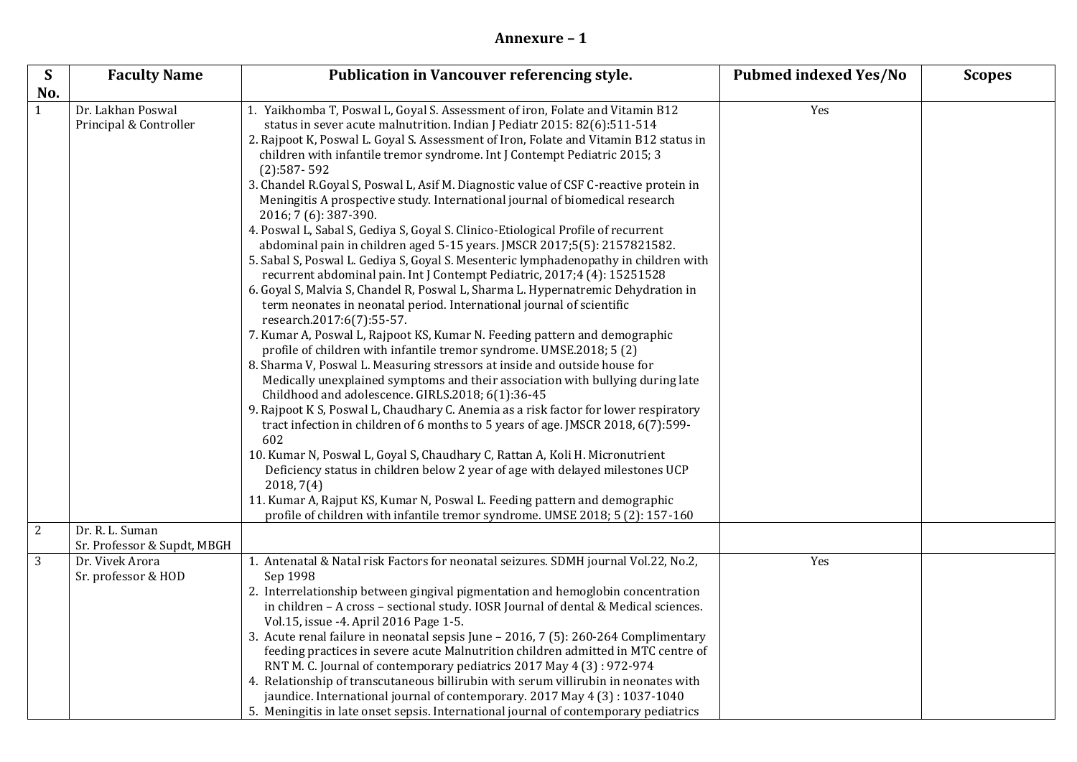## **Annexure – 1**

| S              | <b>Faculty Name</b>                            | Publication in Vancouver referencing style.                                                                                                                                                                                                                                                                                                                                                                                                                                                                                                                                                                                                                                                                                                                                                                                                                                                                                                                                                                                                                                                                                                                                                                                                                                                                                                                                                                                                                                                                                                                                                                                                                                                                                                                                                                                                                                                                                                                                                      | <b>Pubmed indexed Yes/No</b> | <b>Scopes</b> |
|----------------|------------------------------------------------|--------------------------------------------------------------------------------------------------------------------------------------------------------------------------------------------------------------------------------------------------------------------------------------------------------------------------------------------------------------------------------------------------------------------------------------------------------------------------------------------------------------------------------------------------------------------------------------------------------------------------------------------------------------------------------------------------------------------------------------------------------------------------------------------------------------------------------------------------------------------------------------------------------------------------------------------------------------------------------------------------------------------------------------------------------------------------------------------------------------------------------------------------------------------------------------------------------------------------------------------------------------------------------------------------------------------------------------------------------------------------------------------------------------------------------------------------------------------------------------------------------------------------------------------------------------------------------------------------------------------------------------------------------------------------------------------------------------------------------------------------------------------------------------------------------------------------------------------------------------------------------------------------------------------------------------------------------------------------------------------------|------------------------------|---------------|
| No.            |                                                |                                                                                                                                                                                                                                                                                                                                                                                                                                                                                                                                                                                                                                                                                                                                                                                                                                                                                                                                                                                                                                                                                                                                                                                                                                                                                                                                                                                                                                                                                                                                                                                                                                                                                                                                                                                                                                                                                                                                                                                                  |                              |               |
| $\mathbf{1}$   | Dr. Lakhan Poswal<br>Principal & Controller    | 1. Yaikhomba T, Poswal L, Goyal S. Assessment of iron, Folate and Vitamin B12<br>status in sever acute malnutrition. Indian J Pediatr 2015: 82(6):511-514<br>2. Rajpoot K, Poswal L. Goyal S. Assessment of Iron, Folate and Vitamin B12 status in<br>children with infantile tremor syndrome. Int J Contempt Pediatric 2015; 3<br>$(2):587 - 592$<br>3. Chandel R.Goyal S, Poswal L, Asif M. Diagnostic value of CSF C-reactive protein in<br>Meningitis A prospective study. International journal of biomedical research<br>2016; 7 (6): 387-390.<br>4. Poswal L, Sabal S, Gediya S, Goyal S. Clinico-Etiological Profile of recurrent<br>abdominal pain in children aged 5-15 years. JMSCR 2017;5(5): 2157821582.<br>5. Sabal S, Poswal L. Gediya S, Goyal S. Mesenteric lymphadenopathy in children with<br>recurrent abdominal pain. Int J Contempt Pediatric, 2017;4 (4): 15251528<br>6. Goyal S, Malvia S, Chandel R, Poswal L, Sharma L. Hypernatremic Dehydration in<br>term neonates in neonatal period. International journal of scientific<br>research.2017:6(7):55-57.<br>7. Kumar A, Poswal L, Rajpoot KS, Kumar N. Feeding pattern and demographic<br>profile of children with infantile tremor syndrome. UMSE.2018; 5 (2)<br>8. Sharma V, Poswal L. Measuring stressors at inside and outside house for<br>Medically unexplained symptoms and their association with bullying during late<br>Childhood and adolescence. GIRLS.2018; 6(1):36-45<br>9. Rajpoot K S, Poswal L, Chaudhary C. Anemia as a risk factor for lower respiratory<br>tract infection in children of 6 months to 5 years of age. JMSCR 2018, 6(7):599-<br>602<br>10. Kumar N, Poswal L, Goyal S, Chaudhary C, Rattan A, Koli H. Micronutrient<br>Deficiency status in children below 2 year of age with delayed milestones UCP<br>2018, 7(4)<br>11. Kumar A, Rajput KS, Kumar N, Poswal L. Feeding pattern and demographic<br>profile of children with infantile tremor syndrome. UMSE 2018; 5 (2): 157-160 | Yes                          |               |
| $\overline{2}$ | Dr. R. L. Suman<br>Sr. Professor & Supdt, MBGH |                                                                                                                                                                                                                                                                                                                                                                                                                                                                                                                                                                                                                                                                                                                                                                                                                                                                                                                                                                                                                                                                                                                                                                                                                                                                                                                                                                                                                                                                                                                                                                                                                                                                                                                                                                                                                                                                                                                                                                                                  |                              |               |
| 3              | Dr. Vivek Arora<br>Sr. professor & HOD         | 1. Antenatal & Natal risk Factors for neonatal seizures. SDMH journal Vol.22, No.2,<br>Sep 1998<br>2. Interrelationship between gingival pigmentation and hemoglobin concentration<br>in children - A cross - sectional study. IOSR Journal of dental & Medical sciences.<br>Vol.15, issue -4. April 2016 Page 1-5.<br>3. Acute renal failure in neonatal sepsis June - 2016, 7 (5): 260-264 Complimentary<br>feeding practices in severe acute Malnutrition children admitted in MTC centre of<br>RNT M. C. Journal of contemporary pediatrics 2017 May 4 (3): 972-974<br>4. Relationship of transcutaneous billirubin with serum villirubin in neonates with<br>jaundice. International journal of contemporary. 2017 May 4 (3): 1037-1040<br>5. Meningitis in late onset sepsis. International journal of contemporary pediatrics                                                                                                                                                                                                                                                                                                                                                                                                                                                                                                                                                                                                                                                                                                                                                                                                                                                                                                                                                                                                                                                                                                                                                             | Yes                          |               |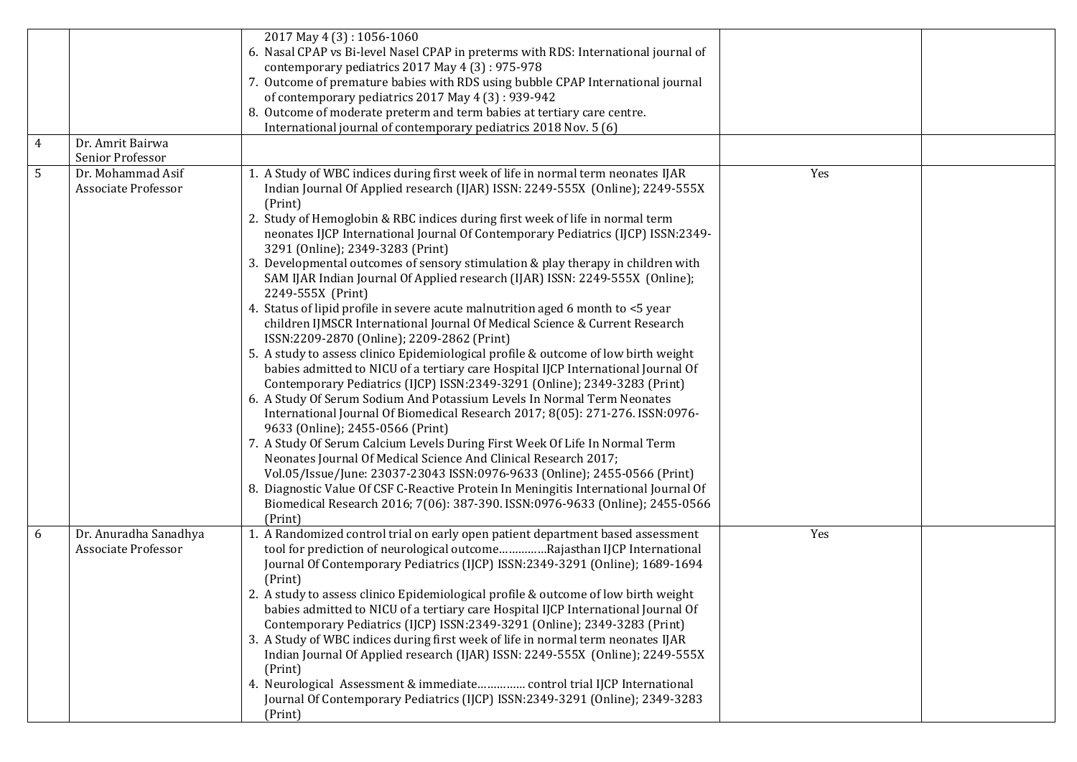| 4 | Dr. Amrit Bairwa                                    | 2017 May 4 (3): 1056-1060<br>6. Nasal CPAP vs Bi-level Nasel CPAP in preterms with RDS: International journal of<br>contemporary pediatrics 2017 May 4 (3): 975-978<br>7. Outcome of premature babies with RDS using bubble CPAP International journal<br>of contemporary pediatrics 2017 May 4 (3): 939-942<br>8. Outcome of moderate preterm and term babies at tertiary care centre.<br>International journal of contemporary pediatrics 2018 Nov. 5 (6)                                                                                                                                                                                                                                                                                                                                                                                                                                                                                                                                                                                                                                                                                                                                                                                                                                                                                                                                                                                                                                                                                                                                                                                                              |     |  |
|---|-----------------------------------------------------|--------------------------------------------------------------------------------------------------------------------------------------------------------------------------------------------------------------------------------------------------------------------------------------------------------------------------------------------------------------------------------------------------------------------------------------------------------------------------------------------------------------------------------------------------------------------------------------------------------------------------------------------------------------------------------------------------------------------------------------------------------------------------------------------------------------------------------------------------------------------------------------------------------------------------------------------------------------------------------------------------------------------------------------------------------------------------------------------------------------------------------------------------------------------------------------------------------------------------------------------------------------------------------------------------------------------------------------------------------------------------------------------------------------------------------------------------------------------------------------------------------------------------------------------------------------------------------------------------------------------------------------------------------------------------|-----|--|
|   | Senior Professor                                    |                                                                                                                                                                                                                                                                                                                                                                                                                                                                                                                                                                                                                                                                                                                                                                                                                                                                                                                                                                                                                                                                                                                                                                                                                                                                                                                                                                                                                                                                                                                                                                                                                                                                          |     |  |
| 5 | Dr. Mohammad Asif<br>Associate Professor            | 1. A Study of WBC indices during first week of life in normal term neonates IJAR<br>Indian Journal Of Applied research (IJAR) ISSN: 2249-555X (Online); 2249-555X<br>(Print)<br>2. Study of Hemoglobin & RBC indices during first week of life in normal term<br>neonates IJCP International Journal Of Contemporary Pediatrics (IJCP) ISSN:2349-<br>3291 (Online); 2349-3283 (Print)<br>3. Developmental outcomes of sensory stimulation & play therapy in children with<br>SAM IJAR Indian Journal Of Applied research (IJAR) ISSN: 2249-555X (Online);<br>2249-555X (Print)<br>4. Status of lipid profile in severe acute malnutrition aged 6 month to <5 year<br>children IJMSCR International Journal Of Medical Science & Current Research<br>ISSN:2209-2870 (Online); 2209-2862 (Print)<br>5. A study to assess clinico Epidemiological profile & outcome of low birth weight<br>babies admitted to NICU of a tertiary care Hospital IJCP International Journal Of<br>Contemporary Pediatrics (IJCP) ISSN:2349-3291 (Online); 2349-3283 (Print)<br>6. A Study Of Serum Sodium And Potassium Levels In Normal Term Neonates<br>International Journal Of Biomedical Research 2017; 8(05): 271-276. ISSN:0976-<br>9633 (Online); 2455-0566 (Print)<br>7. A Study Of Serum Calcium Levels During First Week Of Life In Normal Term<br>Neonates Journal Of Medical Science And Clinical Research 2017;<br>Vol.05/Issue/June: 23037-23043 ISSN:0976-9633 (Online); 2455-0566 (Print)<br>8. Diagnostic Value Of CSF C-Reactive Protein In Meningitis International Journal Of<br>Biomedical Research 2016; 7(06): 387-390. ISSN:0976-9633 (Online); 2455-0566<br>(Print) | Yes |  |
| 6 | Dr. Anuradha Sanadhya<br><b>Associate Professor</b> | 1. A Randomized control trial on early open patient department based assessment<br>tool for prediction of neurological outcomeRajasthan IJCP International<br>Journal Of Contemporary Pediatrics (IJCP) ISSN:2349-3291 (Online); 1689-1694<br>(Print)<br>2. A study to assess clinico Epidemiological profile & outcome of low birth weight<br>babies admitted to NICU of a tertiary care Hospital IJCP International Journal Of<br>Contemporary Pediatrics (IJCP) ISSN:2349-3291 (Online); 2349-3283 (Print)<br>3. A Study of WBC indices during first week of life in normal term neonates IJAR<br>Indian Journal Of Applied research (IJAR) ISSN: 2249-555X (Online); 2249-555X<br>(Print)<br>4. Neurological Assessment & immediate control trial IJCP International<br>Journal Of Contemporary Pediatrics (IJCP) ISSN:2349-3291 (Online); 2349-3283<br>(Print)                                                                                                                                                                                                                                                                                                                                                                                                                                                                                                                                                                                                                                                                                                                                                                                                      | Yes |  |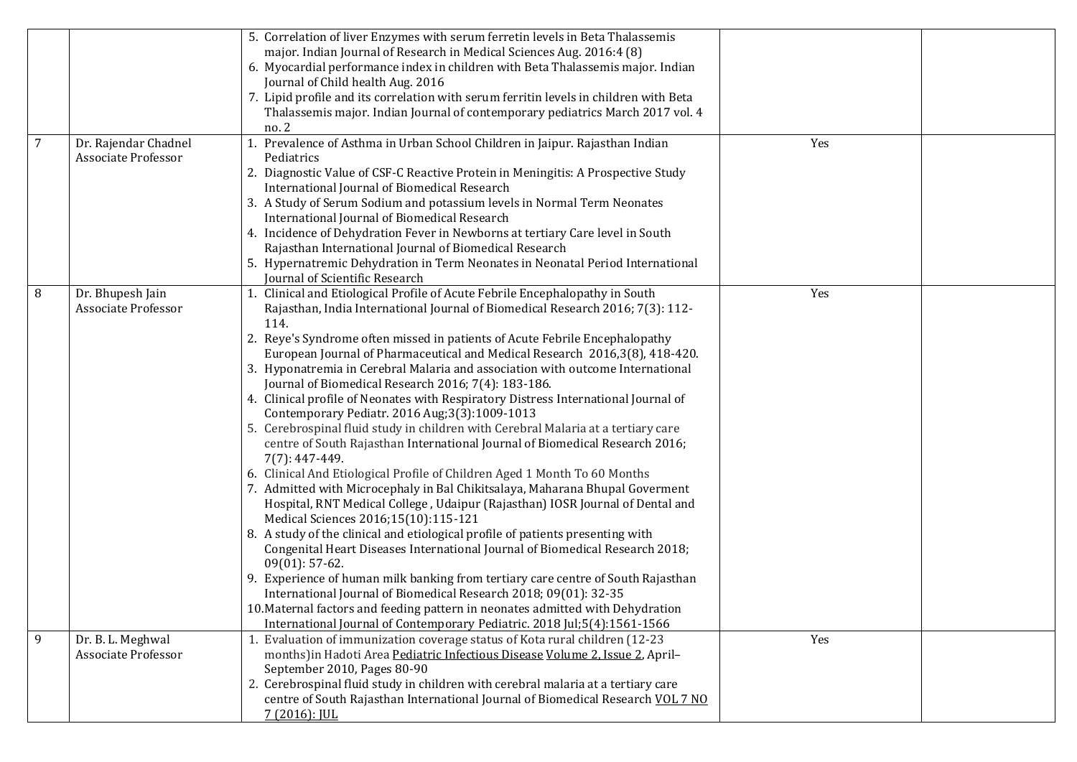|                |                                                 | 5. Correlation of liver Enzymes with serum ferretin levels in Beta Thalassemis<br>major. Indian Journal of Research in Medical Sciences Aug. 2016:4 (8)<br>6. Myocardial performance index in children with Beta Thalassemis major. Indian<br>Journal of Child health Aug. 2016<br>7. Lipid profile and its correlation with serum ferritin levels in children with Beta<br>Thalassemis major. Indian Journal of contemporary pediatrics March 2017 vol. 4<br>no. 2                                                                                                                                                                                                                                                                                                                                                                                                                                                                                                                                                                                                                                                                                                                                                                                                                                                                                                                                                                                                                                                                                                                                           |     |  |
|----------------|-------------------------------------------------|---------------------------------------------------------------------------------------------------------------------------------------------------------------------------------------------------------------------------------------------------------------------------------------------------------------------------------------------------------------------------------------------------------------------------------------------------------------------------------------------------------------------------------------------------------------------------------------------------------------------------------------------------------------------------------------------------------------------------------------------------------------------------------------------------------------------------------------------------------------------------------------------------------------------------------------------------------------------------------------------------------------------------------------------------------------------------------------------------------------------------------------------------------------------------------------------------------------------------------------------------------------------------------------------------------------------------------------------------------------------------------------------------------------------------------------------------------------------------------------------------------------------------------------------------------------------------------------------------------------|-----|--|
| $\overline{7}$ | Dr. Rajendar Chadnel<br>Associate Professor     | Prevalence of Asthma in Urban School Children in Jaipur. Rajasthan Indian<br>Pediatrics<br>2. Diagnostic Value of CSF-C Reactive Protein in Meningitis: A Prospective Study<br>International Journal of Biomedical Research<br>3. A Study of Serum Sodium and potassium levels in Normal Term Neonates<br>International Journal of Biomedical Research<br>4. Incidence of Dehydration Fever in Newborns at tertiary Care level in South<br>Rajasthan International Journal of Biomedical Research<br>5. Hypernatremic Dehydration in Term Neonates in Neonatal Period International<br>Journal of Scientific Research                                                                                                                                                                                                                                                                                                                                                                                                                                                                                                                                                                                                                                                                                                                                                                                                                                                                                                                                                                                         | Yes |  |
| 8              | Dr. Bhupesh Jain<br>Associate Professor         | 1. Clinical and Etiological Profile of Acute Febrile Encephalopathy in South<br>Rajasthan, India International Journal of Biomedical Research 2016; 7(3): 112-<br>114.<br>2. Reye's Syndrome often missed in patients of Acute Febrile Encephalopathy<br>European Journal of Pharmaceutical and Medical Research 2016,3(8), 418-420.<br>3. Hyponatremia in Cerebral Malaria and association with outcome International<br>Journal of Biomedical Research 2016; 7(4): 183-186.<br>4. Clinical profile of Neonates with Respiratory Distress International Journal of<br>Contemporary Pediatr. 2016 Aug;3(3):1009-1013<br>5. Cerebrospinal fluid study in children with Cerebral Malaria at a tertiary care<br>centre of South Rajasthan International Journal of Biomedical Research 2016;<br>7(7): 447-449.<br>6. Clinical And Etiological Profile of Children Aged 1 Month To 60 Months<br>7. Admitted with Microcephaly in Bal Chikitsalaya, Maharana Bhupal Goverment<br>Hospital, RNT Medical College, Udaipur (Rajasthan) IOSR Journal of Dental and<br>Medical Sciences 2016;15(10):115-121<br>8. A study of the clinical and etiological profile of patients presenting with<br>Congenital Heart Diseases International Journal of Biomedical Research 2018;<br>$09(01): 57-62.$<br>9. Experience of human milk banking from tertiary care centre of South Rajasthan<br>International Journal of Biomedical Research 2018; 09(01): 32-35<br>10. Maternal factors and feeding pattern in neonates admitted with Dehydration<br>International Journal of Contemporary Pediatric. 2018 Jul;5(4):1561-1566 | Yes |  |
| 9              | Dr. B. L. Meghwal<br><b>Associate Professor</b> | 1. Evaluation of immunization coverage status of Kota rural children (12-23<br>months) in Hadoti Area Pediatric Infectious Disease Volume 2, Issue 2, April-<br>September 2010, Pages 80-90<br>2. Cerebrospinal fluid study in children with cerebral malaria at a tertiary care<br>centre of South Rajasthan International Journal of Biomedical Research VOL 7 NO<br>$7(2016)$ : JUL                                                                                                                                                                                                                                                                                                                                                                                                                                                                                                                                                                                                                                                                                                                                                                                                                                                                                                                                                                                                                                                                                                                                                                                                                        | Yes |  |